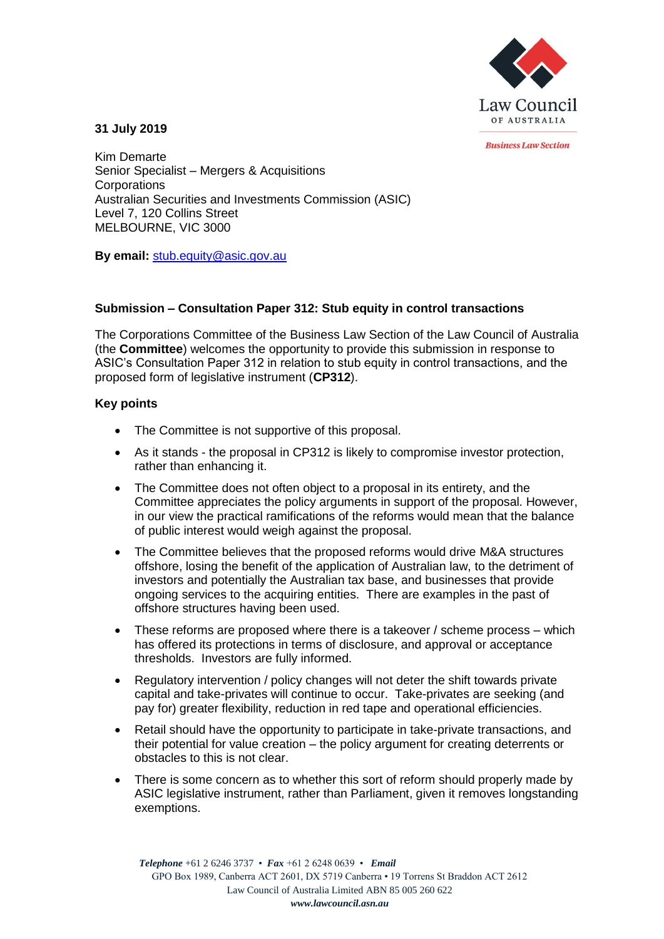

*<u>Rusiness Law Section</u>* 

## **31 July 2019**

Kim Demarte Senior Specialist – Mergers & Acquisitions **Corporations** Australian Securities and Investments Commission (ASIC) Level 7, 120 Collins Street MELBOURNE, VIC 3000

**By email:** stub.equity@asic.gov.au

## **Submission – Consultation Paper 312: Stub equity in control transactions**

The Corporations Committee of the Business Law Section of the Law Council of Australia (the **Committee**) welcomes the opportunity to provide this submission in response to ASIC's Consultation Paper 312 in relation to stub equity in control transactions, and the proposed form of legislative instrument (**CP312**).

## **Key points**

- The Committee is not supportive of this proposal.
- As it stands the proposal in CP312 is likely to compromise investor protection, rather than enhancing it.
- The Committee does not often object to a proposal in its entirety, and the Committee appreciates the policy arguments in support of the proposal. However, in our view the practical ramifications of the reforms would mean that the balance of public interest would weigh against the proposal.
- The Committee believes that the proposed reforms would drive M&A structures offshore, losing the benefit of the application of Australian law, to the detriment of investors and potentially the Australian tax base, and businesses that provide ongoing services to the acquiring entities. There are examples in the past of offshore structures having been used.
- These reforms are proposed where there is a takeover / scheme process which has offered its protections in terms of disclosure, and approval or acceptance thresholds. Investors are fully informed.
- Regulatory intervention / policy changes will not deter the shift towards private capital and take-privates will continue to occur. Take-privates are seeking (and pay for) greater flexibility, reduction in red tape and operational efficiencies.
- Retail should have the opportunity to participate in take-private transactions, and their potential for value creation – the policy argument for creating deterrents or obstacles to this is not clear.
- There is some concern as to whether this sort of reform should properly made by ASIC legislative instrument, rather than Parliament, given it removes longstanding exemptions.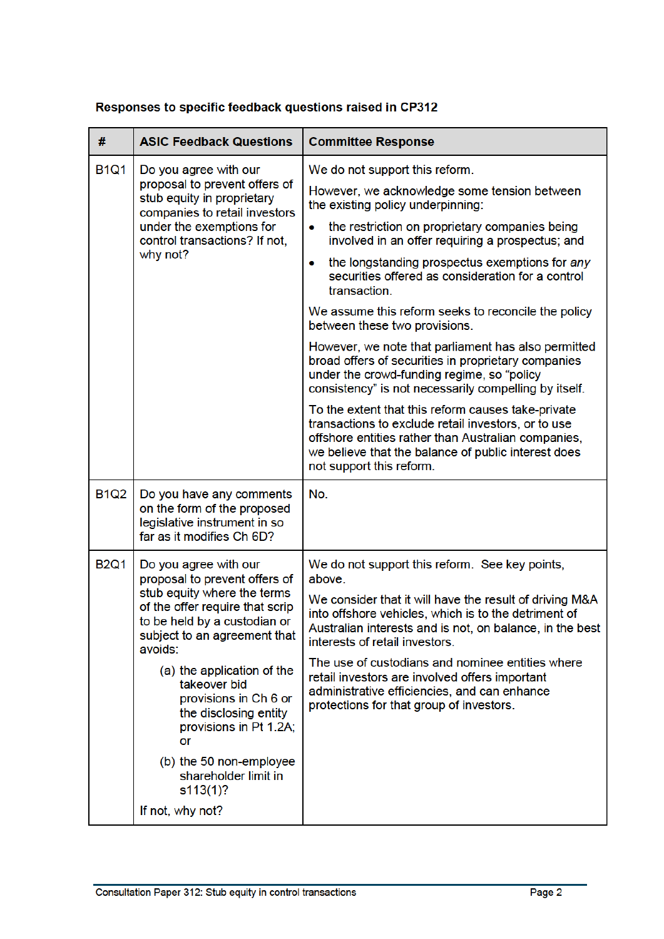| Responses to specific feedback questions raised in CP312 |  |
|----------------------------------------------------------|--|
|                                                          |  |

| #           | <b>ASIC Feedback Questions</b>                                                                                                                                                                 | <b>Committee Response</b>                                                                                                                                                                                                                           |
|-------------|------------------------------------------------------------------------------------------------------------------------------------------------------------------------------------------------|-----------------------------------------------------------------------------------------------------------------------------------------------------------------------------------------------------------------------------------------------------|
| <b>B1Q1</b> | Do you agree with our<br>proposal to prevent offers of<br>stub equity in proprietary<br>companies to retail investors<br>under the exemptions for<br>control transactions? If not,<br>why not? | We do not support this reform.                                                                                                                                                                                                                      |
|             |                                                                                                                                                                                                | However, we acknowledge some tension between<br>the existing policy underpinning:                                                                                                                                                                   |
|             |                                                                                                                                                                                                | the restriction on proprietary companies being<br>۰<br>involved in an offer requiring a prospectus; and                                                                                                                                             |
|             |                                                                                                                                                                                                | the longstanding prospectus exemptions for any<br>۰<br>securities offered as consideration for a control<br>transaction.                                                                                                                            |
|             |                                                                                                                                                                                                | We assume this reform seeks to reconcile the policy<br>between these two provisions.                                                                                                                                                                |
|             |                                                                                                                                                                                                | However, we note that parliament has also permitted<br>broad offers of securities in proprietary companies<br>under the crowd-funding regime, so "policy<br>consistency" is not necessarily compelling by itself.                                   |
|             |                                                                                                                                                                                                | To the extent that this reform causes take-private<br>transactions to exclude retail investors, or to use<br>offshore entities rather than Australian companies,<br>we believe that the balance of public interest does<br>not support this reform. |
| <b>B1Q2</b> | Do you have any comments<br>on the form of the proposed<br>legislative instrument in so<br>far as it modifies Ch 6D?                                                                           | No.                                                                                                                                                                                                                                                 |
| <b>B2Q1</b> | Do you agree with our<br>proposal to prevent offers of                                                                                                                                         | We do not support this reform. See key points,<br>above.                                                                                                                                                                                            |
|             | stub equity where the terms<br>of the offer require that scrip<br>to be held by a custodian or<br>subject to an agreement that<br>avoids:                                                      | We consider that it will have the result of driving M&A<br>into offshore vehicles, which is to the detriment of<br>Australian interests and is not, on balance, in the best<br>interests of retail investors.                                       |
|             | (a) the application of the<br>takeover bid<br>provisions in Ch 6 or<br>the disclosing entity<br>provisions in Pt 1.2A;<br>or                                                                   | The use of custodians and nominee entities where<br>retail investors are involved offers important<br>administrative efficiencies, and can enhance<br>protections for that group of investors.                                                      |
|             | (b) the 50 non-employee<br>shareholder limit in<br>s113(1)?                                                                                                                                    |                                                                                                                                                                                                                                                     |
|             | If not, why not?                                                                                                                                                                               |                                                                                                                                                                                                                                                     |